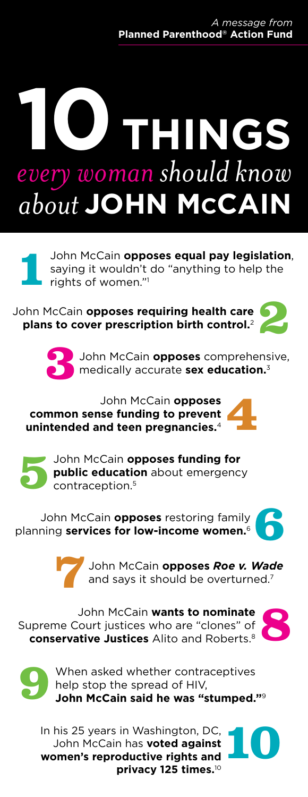# **10things** *every woman should know about* **John McCain**

John McCain **opposes equal pay legislation**,<br>saying it wouldn't do "anything to help the<br>rights of women." saying it wouldn't do "anything to help the rights of women."1

John McCain **opposes requiring health care plans to cover prescription birth control.**<sup>2</sup>



**3** John McCain **opposes** comprehensive, medically accurate **sex education.**<sup>3</sup>

John McCain **opposes common sense funding to prevent unintended and teen pregnancies.<sup>4</sup> <b>444** 



John McCain **opposes funding for public education** about emergency contraception.5

John McCain **opposes** restoring family planning **services for low-income women.**<sup>6</sup>



**7** John McCain **opposes** *Roe v. Wade* and says it should be overturned.<sup>7</sup>

John McCain **wants to nominate** Supreme Court justices who are "clones" of **conservative Justices** Alito and Roberts.8



**10**



When asked whether contraceptives help stop the spread of HIV, **John McCain said he was "stumped."**<sup>9</sup>

In his 25 years in Washington, DC, John McCain has **voted against women's reproductive rights and privacy 125 times.**<sup>10</sup>